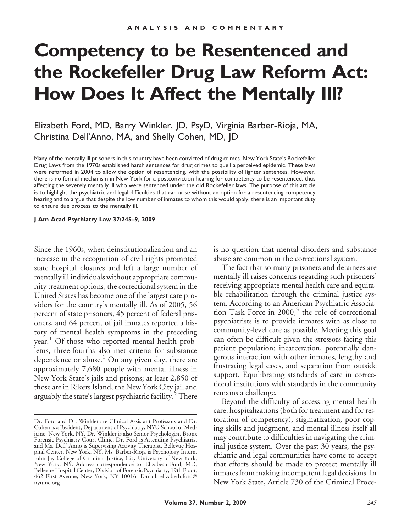# **Competency to be Resentenced and the Rockefeller Drug Law Reform Act: How Does It Affect the Mentally Ill?**

Elizabeth Ford, MD, Barry Winkler, JD, PsyD, Virginia Barber-Rioja, MA, Christina Dell'Anno, MA, and Shelly Cohen, MD, JD

Many of the mentally ill prisoners in this country have been convicted of drug crimes. New York State's Rockefeller Drug Laws from the 1970s established harsh sentences for drug crimes to quell a perceived epidemic. These laws were reformed in 2004 to allow the option of resentencing, with the possibility of lighter sentences. However, there is no formal mechanism in New York for a postconviction hearing for competency to be resentenced, thus affecting the severely mentally ill who were sentenced under the old Rockefeller laws. The purpose of this article is to highlight the psychiatric and legal difficulties that can arise without an option for a resentencing competency hearing and to argue that despite the low number of inmates to whom this would apply, there is an important duty to ensure due process to the mentally ill.

**J Am Acad Psychiatry Law 37:245–9, 2009**

Since the 1960s, when deinstitutionalization and an increase in the recognition of civil rights prompted state hospital closures and left a large number of mentally ill individuals without appropriate community treatment options, the correctional system in the United States has become one of the largest care providers for the country's mentally ill. As of 2005, 56 percent of state prisoners, 45 percent of federal prisoners, and 64 percent of jail inmates reported a history of mental health symptoms in the preceding year.<sup>1</sup> Of those who reported mental health problems, three-fourths also met criteria for substance dependence or abuse.<sup>1</sup> On any given day, there are approximately 7,680 people with mental illness in New York State's jails and prisons; at least 2,850 of those are in Rikers Island, the New York City jail and arguably the state's largest psychiatric facility.<sup>2</sup> There

is no question that mental disorders and substance abuse are common in the correctional system.

The fact that so many prisoners and detainees are mentally ill raises concerns regarding such prisoners' receiving appropriate mental health care and equitable rehabilitation through the criminal justice system. According to an American Psychiatric Association Task Force in  $2000$ ,<sup>3</sup> the role of correctional psychiatrists is to provide inmates with as close to community-level care as possible. Meeting this goal can often be difficult given the stressors facing this patient population: incarceration, potentially dangerous interaction with other inmates, lengthy and frustrating legal cases, and separation from outside support. Equilibrating standards of care in correctional institutions with standards in the community remains a challenge.

Beyond the difficulty of accessing mental health care, hospitalizations (both for treatment and for restoration of competency), stigmatization, poor coping skills and judgment, and mental illness itself all may contribute to difficulties in navigating the criminal justice system. Over the past 30 years, the psychiatric and legal communities have come to accept that efforts should be made to protect mentally ill inmates from making incompetent legal decisions. In New York State, Article 730 of the Criminal Proce-

Dr. Ford and Dr. Winkler are Clinical Assistant Professors and Dr. Cohen is a Resident, Department of Psychiatry, NYU School of Medicine, New York, NY. Dr. Winkler is also Senior Psychologist, Bronx Forensic Psychiatry Court Clinic. Dr. Ford is Attending Psychiatrist and Ms. Dell' Anno is Supervising Activity Therapist, Bellevue Hospital Center, New York, NY. Ms. Barber-Rioja is Psychology Intern, John Jay College of Criminal Justice, City University of New York, New York, NY. Address correspondence to: Elizabeth Ford, MD, Bellevue Hospital Center, Division of Forensic Psychiatry, 19th Floor, 462 First Avenue, New York, NY 10016. E-mail: elizabeth.ford@ nyumc.org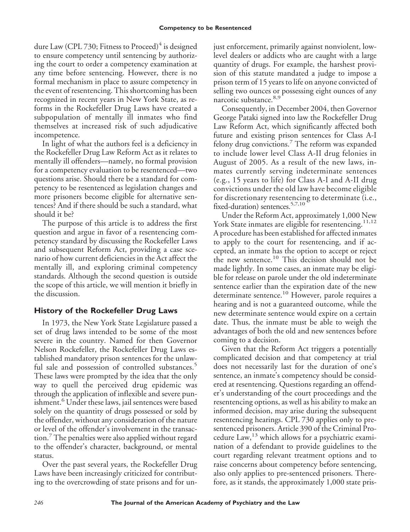dure Law (CPL 730; Fitness to Proceed) $4$  is designed to ensure competency until sentencing by authorizing the court to order a competency examination at any time before sentencing. However, there is no formal mechanism in place to assure competency in the event of resentencing. This shortcoming has been recognized in recent years in New York State, as reforms in the Rockefeller Drug Laws have created a subpopulation of mentally ill inmates who find themselves at increased risk of such adjudicative incompetence.

In light of what the authors feel is a deficiency in the Rockefeller Drug Law Reform Act as it relates to mentally ill offenders—namely, no formal provision for a competency evaluation to be resentenced—two questions arise. Should there be a standard for competency to be resentenced as legislation changes and more prisoners become eligible for alternative sentences? And if there should be such a standard, what should it be?

The purpose of this article is to address the first question and argue in favor of a resentencing competency standard by discussing the Rockefeller Laws and subsequent Reform Act, providing a case scenario of how current deficiencies in the Act affect the mentally ill, and exploring criminal competency standards. Although the second question is outside the scope of this article, we will mention it briefly in the discussion.

# **History of the Rockefeller Drug Laws**

In 1973, the New York State Legislature passed a set of drug laws intended to be some of the most severe in the country. Named for then Governor Nelson Rockefeller, the Rockefeller Drug Laws established mandatory prison sentences for the unlawful sale and possession of controlled substances.<sup>5</sup> These laws were prompted by the idea that the only way to quell the perceived drug epidemic was through the application of inflexible and severe punishment.<sup>6</sup> Under these laws, jail sentences were based solely on the quantity of drugs possessed or sold by the offender, without any consideration of the nature or level of the offender's involvement in the transaction.<sup>7</sup> The penalties were also applied without regard to the offender's character, background, or mental status.

Over the past several years, the Rockefeller Drug Laws have been increasingly criticized for contributing to the overcrowding of state prisons and for unjust enforcement, primarily against nonviolent, lowlevel dealers or addicts who are caught with a large quantity of drugs. For example, the harshest provision of this statute mandated a judge to impose a prison term of 15 years to life on anyone convicted of selling two ounces or possessing eight ounces of any narcotic substance.<sup>8,9</sup>

Consequently, in December 2004, then Governor George Pataki signed into law the Rockefeller Drug Law Reform Act, which significantly affected both future and existing prison sentences for Class A-I felony drug convictions.<sup>7</sup> The reform was expanded to include lower level Class A-II drug felonies in August of 2005. As a result of the new laws, inmates currently serving indeterminate sentences (e.g., 15 years to life) for Class A-I and A-II drug convictions under the old law have become eligible for discretionary resentencing to determinate (i.e., fixed-duration) sentences.  $5,7,10$ 

Under the Reform Act, approximately 1,000 New York State inmates are eligible for resentencing.<sup>11,12</sup> A procedure has been established for affected inmates to apply to the court for resentencing, and if accepted, an inmate has the option to accept or reject the new sentence.<sup>10</sup> This decision should not be made lightly. In some cases, an inmate may be eligible for release on parole under the old indeterminate sentence earlier than the expiration date of the new determinate sentence.<sup>10</sup> However, parole requires a hearing and is not a guaranteed outcome, while the new determinate sentence would expire on a certain date. Thus, the inmate must be able to weigh the advantages of both the old and new sentences before coming to a decision.

Given that the Reform Act triggers a potentially complicated decision and that competency at trial does not necessarily last for the duration of one's sentence, an inmate's competency should be considered at resentencing. Questions regarding an offender's understanding of the court proceedings and the resentencing options, as well as his ability to make an informed decision, may arise during the subsequent resentencing hearings. CPL 730 applies only to presentenced prisoners. Article 390 of the Criminal Procedure  $Law<sup>13</sup>$  which allows for a psychiatric examination of a defendant to provide guidelines to the court regarding relevant treatment options and to raise concerns about competency before sentencing, also only applies to pre-sentenced prisoners. Therefore, as it stands, the approximately 1,000 state pris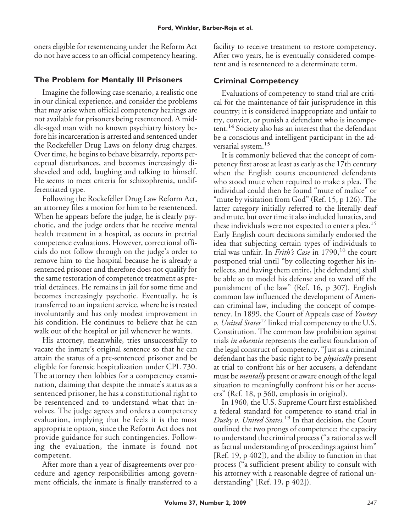oners eligible for resentencing under the Reform Act do not have access to an official competency hearing.

### **The Problem for Mentally Ill Prisoners**

Imagine the following case scenario, a realistic one in our clinical experience, and consider the problems that may arise when official competency hearings are not available for prisoners being resentenced. A middle-aged man with no known psychiatry history before his incarceration is arrested and sentenced under the Rockefeller Drug Laws on felony drug charges. Over time, he begins to behave bizarrely, reports perceptual disturbances, and becomes increasingly disheveled and odd, laughing and talking to himself. He seems to meet criteria for schizophrenia, undifferentiated type.

Following the Rockefeller Drug Law Reform Act, an attorney files a motion for him to be resentenced. When he appears before the judge, he is clearly psychotic, and the judge orders that he receive mental health treatment in a hospital, as occurs in pretrial competence evaluations. However, correctional officials do not follow through on the judge's order to remove him to the hospital because he is already a sentenced prisoner and therefore does not qualify for the same restoration of competence treatment as pretrial detainees. He remains in jail for some time and becomes increasingly psychotic. Eventually, he is transferred to an inpatient service, where he is treated involuntarily and has only modest improvement in his condition. He continues to believe that he can walk out of the hospital or jail whenever he wants.

His attorney, meanwhile, tries unsuccessfully to vacate the inmate's original sentence so that he can attain the status of a pre-sentenced prisoner and be eligible for forensic hospitalization under CPL 730. The attorney then lobbies for a competency examination, claiming that despite the inmate's status as a sentenced prisoner, he has a constitutional right to be resentenced and to understand what that involves. The judge agrees and orders a competency evaluation, implying that he feels it is the most appropriate option, since the Reform Act does not provide guidance for such contingencies. Following the evaluation, the inmate is found not competent.

After more than a year of disagreements over procedure and agency responsibilities among government officials, the inmate is finally transferred to a facility to receive treatment to restore competency. After two years, he is eventually considered competent and is resentenced to a determinate term.

## **Criminal Competency**

Evaluations of competency to stand trial are critical for the maintenance of fair jurisprudence in this country; it is considered inappropriate and unfair to try, convict, or punish a defendant who is incompetent.<sup>14</sup> Society also has an interest that the defendant be a conscious and intelligent participant in the adversarial system.<sup>15</sup>

It is commonly believed that the concept of competency first arose at least as early as the 17th century when the English courts encountered defendants who stood mute when required to make a plea. The individual could then be found "mute of malice" or "mute by visitation from God" (Ref. 15, p 126). The latter category initially referred to the literally deaf and mute, but over time it also included lunatics, and these individuals were not expected to enter a plea.<sup>15</sup> Early English court decisions similarly endorsed the idea that subjecting certain types of individuals to trial was unfair. In *Frith's Case* in 1790,<sup>16</sup> the court postponed trial until "by collecting together his intellects, and having them entire, [the defendant] shall be able so to model his defense and to ward off the punishment of the law" (Ref. 16, p 307). English common law influenced the development of American criminal law, including the concept of competency. In 1899, the Court of Appeals case of *Youtsey v. United States*<sup>17</sup> linked trial competency to the U.S. Constitution. The common law prohibition against trials *in absentia* represents the earliest foundation of the legal construct of competency. "Just as a criminal defendant has the basic right to be *physically* present at trial to confront his or her accusers, a defendant must be *mentally* present or aware enough of the legal situation to meaningfully confront his or her accusers" (Ref. 18, p 360, emphasis in original).

In 1960, the U.S. Supreme Court first established a federal standard for competence to stand trial in *Dusky v. United States.*<sup>19</sup> In that decision, the Court outlined the two prongs of competence: the capacity to understand the criminal process ("a rational as well as factual understanding of proceedings against him" [Ref. 19, p 402]), and the ability to function in that process ("a sufficient present ability to consult with his attorney with a reasonable degree of rational understanding" [Ref. 19, p 402]).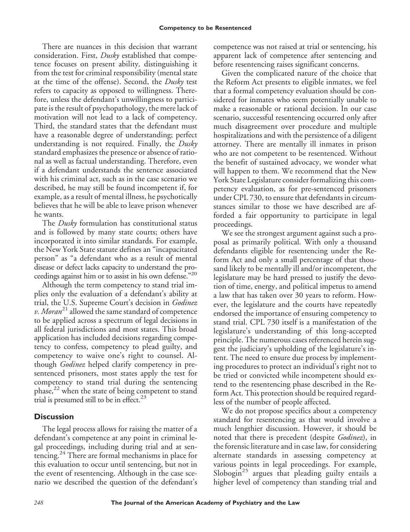There are nuances in this decision that warrant consideration. First, *Dusky* established that competence focuses on present ability*,* distinguishing it from the test for criminal responsibility (mental state at the time of the offense). Second, the *Dusky* test refers to capacity as opposed to willingness. Therefore, unless the defendant's unwillingness to participate is the result of psychopathology, the mere lack of motivation will not lead to a lack of competency. Third, the standard states that the defendant must have a reasonable degree of understanding; perfect understanding is not required. Finally, the *Dusky* standard emphasizes the presence or absence of rational as well as factual understanding. Therefore, even if a defendant understands the sentence associated with his criminal act, such as in the case scenario we described, he may still be found incompetent if, for example, as a result of mental illness, he psychotically believes that he will be able to leave prison whenever he wants.

The *Dusky* formulation has constitutional status and is followed by many state courts; others have incorporated it into similar standards. For example, the New York State statute defines an "incapacitated person" as "a defendant who as a result of mental disease or defect lacks capacity to understand the proceedings against him or to assist in his own defense."<sup>20</sup>

Although the term competency to stand trial implies only the evaluation of a defendant's ability at trial, the U.S. Supreme Court's decision in *Godinez v. Moran*<sup>21</sup> allowed the same standard of competence to be applied across a spectrum of legal decisions in all federal jurisdictions and most states. This broad application has included decisions regarding competency to confess, competency to plead guilty, and competency to waive one's right to counsel. Although *Godinez* helped clarify competency in presentenced prisoners, most states apply the test for competency to stand trial during the sentencing phase, $^{22}$  when the state of being competent to stand trial is presumed still to be in effect. $^{23}$ 

### **Discussion**

The legal process allows for raising the matter of a defendant's competence at any point in criminal legal proceedings, including during trial and at sentencing.<sup>24</sup> There are formal mechanisms in place for this evaluation to occur until sentencing, but not in the event of resentencing. Although in the case scenario we described the question of the defendant's competence was not raised at trial or sentencing, his apparent lack of competence after sentencing and before resentencing raises significant concerns.

Given the complicated nature of the choice that the Reform Act presents to eligible inmates, we feel that a formal competency evaluation should be considered for inmates who seem potentially unable to make a reasonable or rational decision. In our case scenario, successful resentencing occurred only after much disagreement over procedure and multiple hospitalizations and with the persistence of a diligent attorney. There are mentally ill inmates in prison who are not competent to be resentenced. Without the benefit of sustained advocacy, we wonder what will happen to them. We recommend that the New York State Legislature consider formalizing this competency evaluation, as for pre-sentenced prisoners under CPL 730, to ensure that defendants in circumstances similar to those we have described are afforded a fair opportunity to participate in legal proceedings.

We see the strongest argument against such a proposal as primarily political. With only a thousand defendants eligible for resentencing under the Reform Act and only a small percentage of that thousand likely to be mentally ill and/or incompetent, the legislature may be hard pressed to justify the devotion of time, energy, and political impetus to amend a law that has taken over 30 years to reform. However, the legislature and the courts have repeatedly endorsed the importance of ensuring competency to stand trial. CPL 730 itself is a manifestation of the legislature's understanding of this long-accepted principle. The numerous cases referenced herein suggest the judiciary's upholding of the legislature's intent. The need to ensure due process by implementing procedures to protect an individual's right not to be tried or convicted while incompetent should extend to the resentencing phase described in the Reform Act. This protection should be required regardless of the number of people affected.

We do not propose specifics about a competency standard for resentencing as that would involve a much lengthier discussion. However, it should be noted that there is precedent (despite *Godinez*), in the forensic literature and in case law, for considering alternate standards in assessing competency at various points in legal proceedings. For example, Slobogin<sup>25</sup> argues that pleading guilty entails a higher level of competency than standing trial and